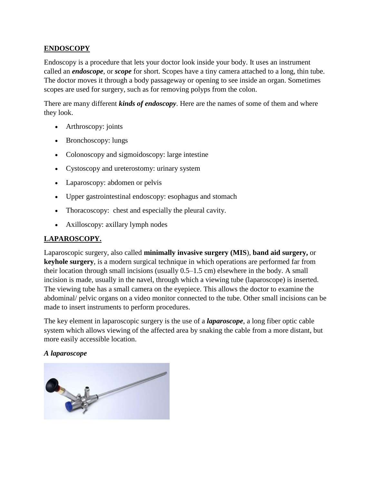# **ENDOSCOPY**

Endoscopy is a procedure that lets your doctor look inside your body. It uses an instrument called an *endoscope*, or *scope* for short. Scopes have a tiny camera attached to a long, thin tube. The doctor moves it through a body passageway or opening to see inside an organ. Sometimes scopes are used for surgery, such as for removing polyps from the colon.

There are many different *kinds of endoscopy*. Here are the names of some of them and where they look.

- Arthroscopy: joints
- Bronchoscopy: lungs
- Colonoscopy and sigmoidoscopy: large intestine
- Cystoscopy and ureterostomy: urinary system
- Laparoscopy: abdomen or pelvis
- Upper gastrointestinal endoscopy: esophagus and stomach
- Thoracoscopy: chest and especially the pleural cavity.
- Axilloscopy: axillary lymph nodes

# **LAPAROSCOPY.**

Laparoscopic surgery, also called **minimally invasive surgery (MIS**)*,* **band aid surgery,** or **keyhole surgery**, is a modern surgical technique in which operations are performed far from their location through small incisions (usually 0.5–1.5 cm) elsewhere in the body. A small incision is made, usually in the navel, through which a viewing tube (laparoscope) is inserted. The viewing tube has a small camera on the eyepiece. This allows the doctor to examine the abdominal/ pelvic organs on a video monitor connected to the tube. Other small incisions can be made to insert instruments to perform procedures.

The key element in laparoscopic surgery is the use of a *laparoscope*, a long fiber optic cable system which allows viewing of the affected area by snaking the cable from a more distant, but more easily accessible location.

#### *A laparoscope*

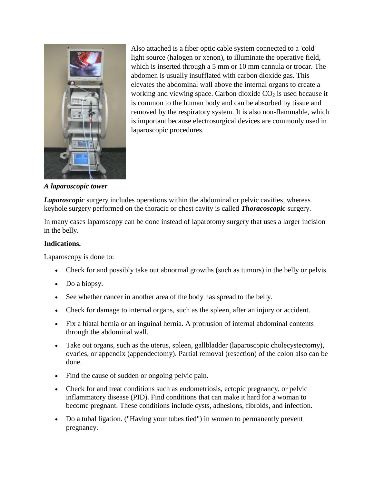

Also attached is a fiber optic cable system connected to a 'cold' light source (halogen or xenon), to illuminate the operative field, which is inserted through a 5 mm or 10 mm cannula or trocar. The abdomen is usually insufflated with carbon dioxide gas. This elevates the abdominal wall above the internal organs to create a working and viewing space. Carbon dioxide  $CO<sub>2</sub>$  is used because it is common to the human body and can be absorbed by tissue and removed by the respiratory system. It is also non-flammable, which is important because electrosurgical devices are commonly used in laparoscopic procedures.

*A laparoscopic tower*

*Laparoscopic* surgery includes operations within the abdominal or pelvic cavities, whereas keyhole surgery performed on the thoracic or chest cavity is called *Thoracoscopic* surgery.

In many cases laparoscopy can be done instead of laparotomy surgery that uses a larger incision in the belly.

## **Indications.**

Laparoscopy is done to:

- Check for and possibly take out abnormal growths (such as tumors) in the belly or pelvis.
- Do a biopsy.
- See whether cancer in another area of the body has spread to the belly.
- Check for damage to internal organs, such as the spleen, after an injury or accident.
- Fix a hiatal hernia or an inguinal hernia. A protrusion of internal abdominal contents through the abdominal wall.
- Take out organs, such as the uterus, spleen, gallbladder (laparoscopic cholecystectomy), ovaries, or appendix (appendectomy). Partial removal (resection) of the colon also can be done.
- Find the cause of sudden or ongoing pelvic pain.
- Check for and treat conditions such as endometriosis, ectopic pregnancy, or pelvic inflammatory disease (PID). Find conditions that can make it hard for a woman to become pregnant. These conditions include cysts, adhesions, fibroids, and infection.
- Do a tubal ligation. ("Having your tubes tied") in women to permanently prevent pregnancy.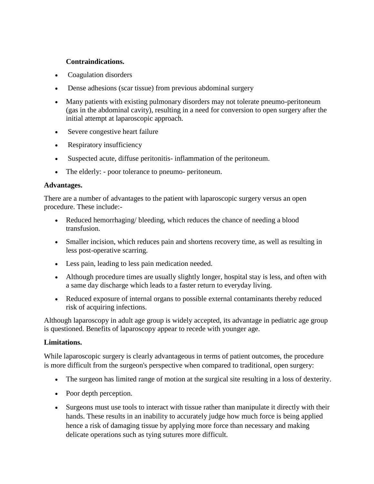#### **Contraindications.**

- Coagulation disorders
- Dense adhesions (scar tissue) from previous abdominal surgery
- Many patients with existing pulmonary disorders may not tolerate pneumo-peritoneum (gas in the abdominal cavity), resulting in a need for conversion to open surgery after the initial attempt at laparoscopic approach.
- Severe congestive heart failure
- Respiratory insufficiency
- Suspected acute, diffuse peritonitis- inflammation of the peritoneum.
- The elderly: poor tolerance to pneumo- peritoneum.

#### **Advantages.**

There are a number of advantages to the patient with laparoscopic surgery versus an open procedure. These include:-

- Reduced hemorrhaging/ bleeding, which reduces the chance of needing a blood transfusion.
- Smaller incision, which reduces pain and shortens recovery time, as well as resulting in less post-operative scarring.
- Less pain, leading to less pain medication needed.
- Although procedure times are usually slightly longer, hospital stay is less, and often with a same day discharge which leads to a faster return to everyday living.
- Reduced exposure of internal organs to possible external contaminants thereby reduced risk of acquiring infections.

Although laparoscopy in adult age group is widely accepted, its advantage in pediatric age group is questioned. Benefits of laparoscopy appear to recede with younger age.

#### **Limitations.**

While laparoscopic surgery is clearly advantageous in terms of patient outcomes, the procedure is more difficult from the surgeon's perspective when compared to traditional, open surgery:

- The surgeon has limited range of motion at the surgical site resulting in a loss of dexterity.
- Poor depth perception.
- Surgeons must use tools to interact with tissue rather than manipulate it directly with their hands. These results in an inability to accurately judge how much force is being applied hence a risk of damaging tissue by applying more force than necessary and making delicate operations such as tying sutures more difficult.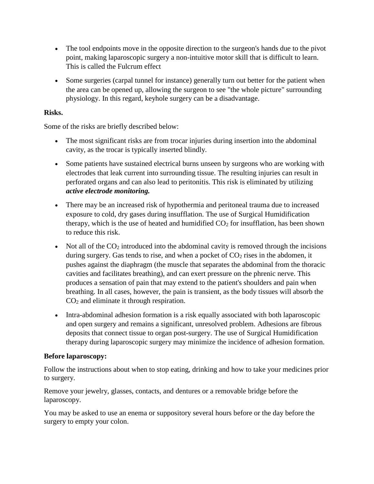- The tool endpoints move in the opposite direction to the surgeon's hands due to the pivot point, making laparoscopic surgery a non-intuitive motor skill that is difficult to learn. This is called the Fulcrum effect
- Some surgeries (carpal tunnel for instance) generally turn out better for the patient when the area can be opened up, allowing the surgeon to see "the whole picture" surrounding physiology. In this regard, keyhole surgery can be a disadvantage.

## **Risks.**

Some of the risks are briefly described below:

- The most significant risks are from trocar injuries during insertion into the abdominal cavity, as the trocar is typically inserted blindly.
- Some patients have sustained electrical burns unseen by surgeons who are working with electrodes that leak current into surrounding tissue. The resulting injuries can result in perforated organs and can also lead to peritonitis. This risk is eliminated by utilizing *active electrode monitoring.*
- There may be an increased risk of hypothermia and peritoneal trauma due to increased exposure to cold, dry gases during insufflation. The use of Surgical Humidification therapy, which is the use of heated and humidified  $CO<sub>2</sub>$  for insufflation, has been shown to reduce this risk.
- Not all of the  $CO<sub>2</sub>$  introduced into the abdominal cavity is removed through the incisions during surgery. Gas tends to rise, and when a pocket of  $CO<sub>2</sub>$  rises in the abdomen, it pushes against the diaphragm (the muscle that separates the abdominal from the thoracic cavities and facilitates breathing), and can exert pressure on the phrenic nerve. This produces a sensation of pain that may extend to the patient's shoulders and pain when breathing. In all cases, however, the pain is transient, as the body tissues will absorb the CO<sup>2</sup> and eliminate it through respiration.
- Intra-abdominal adhesion formation is a risk equally associated with both laparoscopic and open surgery and remains a significant, unresolved problem. Adhesions are fibrous deposits that connect tissue to organ post-surgery. The use of Surgical Humidification therapy during laparoscopic surgery may minimize the incidence of adhesion formation.

## **Before laparoscopy:**

Follow the instructions about when to stop eating, drinking and how to take your medicines prior to surgery.

Remove your jewelry, glasses, contacts, and dentures or a removable bridge before the laparoscopy.

You may be asked to use an enema or suppository several hours before or the day before the surgery to empty your colon.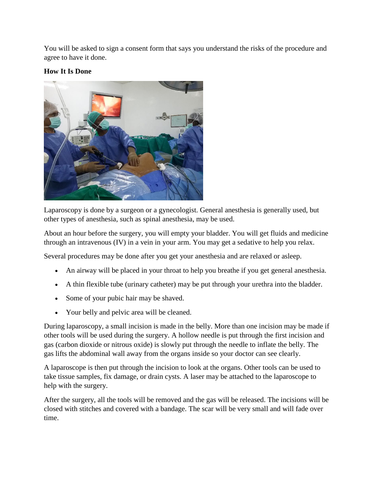You will be asked to sign a consent form that says you understand the risks of the procedure and agree to have it done.

# **How It Is Done**



Laparoscopy is done by a surgeon or a gynecologist. General anesthesia is generally used, but other types of anesthesia, such as spinal anesthesia, may be used.

About an hour before the surgery, you will empty your bladder. You will get fluids and medicine through an intravenous (IV) in a vein in your arm. You may get a sedative to help you relax.

Several procedures may be done after you get your anesthesia and are relaxed or asleep.

- An airway will be placed in your throat to help you breathe if you get general anesthesia.
- A thin flexible tube (urinary catheter) may be put through your urethra into the bladder.
- Some of your pubic hair may be shaved.
- Your belly and pelvic area will be cleaned.

During laparoscopy, a small incision is made in the belly. More than one incision may be made if other tools will be used during the surgery. A hollow needle is put through the first incision and gas (carbon dioxide or nitrous oxide) is slowly put through the needle to inflate the belly. The gas lifts the abdominal wall away from the organs inside so your doctor can see clearly.

A laparoscope is then put through the incision to look at the organs. Other tools can be used to take tissue samples, fix damage, or drain cysts. A laser may be attached to the laparoscope to help with the surgery.

After the surgery, all the tools will be removed and the gas will be released. The incisions will be closed with stitches and covered with a bandage. The scar will be very small and will fade over time.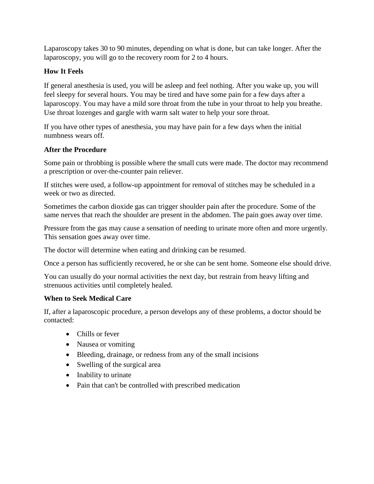Laparoscopy takes 30 to 90 minutes, depending on what is done, but can take longer. After the laparoscopy, you will go to the recovery room for 2 to 4 hours.

# **How It Feels**

If general anesthesia is used, you will be asleep and feel nothing. After you wake up, you will feel sleepy for several hours. You may be tired and have some pain for a few days after a laparoscopy. You may have a mild sore throat from the tube in your throat to help you breathe. Use throat lozenges and gargle with warm salt water to help your sore throat.

If you have other types of anesthesia, you may have pain for a few days when the initial numbness wears off.

## **After the Procedure**

Some pain or throbbing is possible where the small cuts were made. The doctor may recommend a prescription or over-the-counter pain reliever.

If stitches were used, a follow-up appointment for removal of stitches may be scheduled in a week or two as directed.

Sometimes the carbon dioxide gas can trigger shoulder pain after the procedure. Some of the same nerves that reach the shoulder are present in the abdomen. The pain goes away over time.

Pressure from the gas may cause a sensation of needing to urinate more often and more urgently. This sensation goes away over time.

The doctor will determine when eating and drinking can be resumed.

Once a person has sufficiently recovered, he or she can be sent home. Someone else should drive.

You can usually do your normal activities the next day, but restrain from heavy lifting and strenuous activities until completely healed.

# **When to Seek Medical Care**

If, after a laparoscopic procedure, a person develops any of these problems, a doctor should be contacted:

- Chills or fever
- Nausea or vomiting
- Bleeding, drainage, or redness from any of the small incisions
- Swelling of the surgical area
- Inability to urinate
- Pain that can't be controlled with prescribed medication